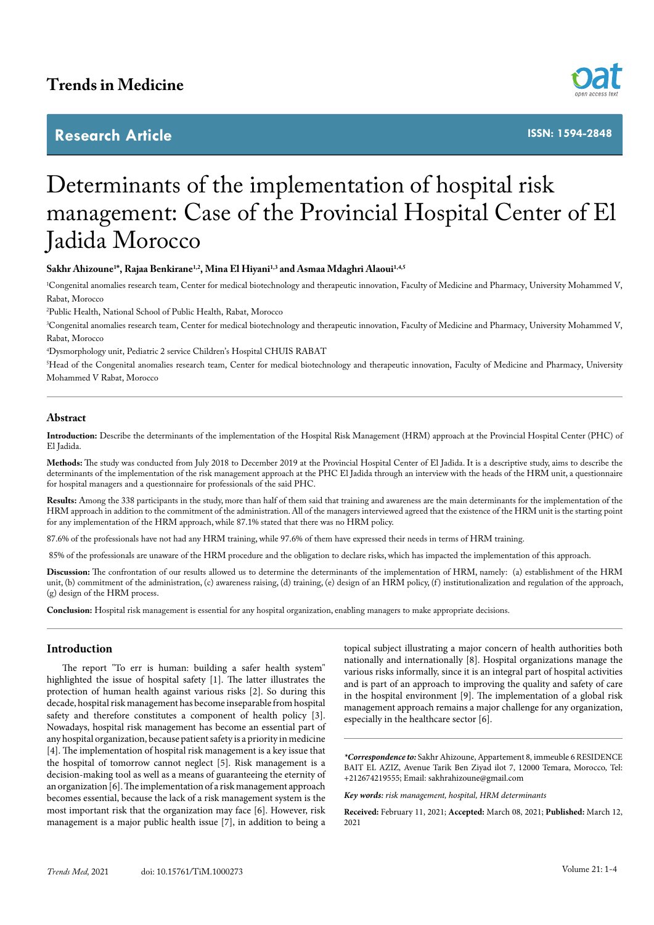# **Trends in Medicine**

# **Research Article**



**ISSN: 1594-2848**

# Determinants of the implementation of hospital risk management: Case of the Provincial Hospital Center of El Jadida Morocco

# **Sakhr Ahizoune1 \*, Rajaa Benkirane1,2, Mina El Hiyani1,3 and Asmaa Mdaghri Alaoui1,4,5**

1 Congenital anomalies research team, Center for medical biotechnology and therapeutic innovation, Faculty of Medicine and Pharmacy, University Mohammed V, Rabat, Morocco

2 Public Health, National School of Public Health, Rabat, Morocco

3 Congenital anomalies research team, Center for medical biotechnology and therapeutic innovation, Faculty of Medicine and Pharmacy, University Mohammed V, Rabat, Morocco

4 Dysmorphology unit, Pediatric 2 service Children's Hospital CHUIS RABAT

5 Head of the Congenital anomalies research team, Center for medical biotechnology and therapeutic innovation, Faculty of Medicine and Pharmacy, University Mohammed V Rabat, Morocco

#### **Abstract**

**Introduction:** Describe the determinants of the implementation of the Hospital Risk Management (HRM) approach at the Provincial Hospital Center (PHC) of El Jadida.

**Methods:** The study was conducted from July 2018 to December 2019 at the Provincial Hospital Center of El Jadida. It is a descriptive study, aims to describe the determinants of the implementation of the risk management approach at the PHC El Jadida through an interview with the heads of the HRM unit, a questionnaire for hospital managers and a questionnaire for professionals of the said PHC.

**Results:** Among the 338 participants in the study, more than half of them said that training and awareness are the main determinants for the implementation of the HRM approach in addition to the commitment of the administration. All of the managers interviewed agreed that the existence of the HRM unit is the starting point for any implementation of the HRM approach, while 87.1% stated that there was no HRM policy.

87.6% of the professionals have not had any HRM training, while 97.6% of them have expressed their needs in terms of HRM training.

85% of the professionals are unaware of the HRM procedure and the obligation to declare risks, which has impacted the implementation of this approach.

**Discussion:** The confrontation of our results allowed us to determine the determinants of the implementation of HRM, namely: (a) establishment of the HRM unit, (b) commitment of the administration, (c) awareness raising, (d) training, (e) design of an HRM policy, (f) institutionalization and regulation of the approach, (g) design of the HRM process.

**Conclusion:** Hospital risk management is essential for any hospital organization, enabling managers to make appropriate decisions.

# **Introduction**

The report "To err is human: building a safer health system" highlighted the issue of hospital safety [1]. The latter illustrates the protection of human health against various risks [2]. So during this decade, hospital risk management has become inseparable from hospital safety and therefore constitutes a component of health policy [3]. Nowadays, hospital risk management has become an essential part of any hospital organization, because patient safety is a priority in medicine [4]. The implementation of hospital risk management is a key issue that the hospital of tomorrow cannot neglect [5]. Risk management is a decision-making tool as well as a means of guaranteeing the eternity of an organization [6]. The implementation of a risk management approach becomes essential, because the lack of a risk management system is the most important risk that the organization may face [6]. However, risk management is a major public health issue [7], in addition to being a

topical subject illustrating a major concern of health authorities both nationally and internationally [8]. Hospital organizations manage the various risks informally, since it is an integral part of hospital activities and is part of an approach to improving the quality and safety of care in the hospital environment [9]. The implementation of a global risk management approach remains a major challenge for any organization, especially in the healthcare sector [6].

*\*Correspondence to:* Sakhr Ahizoune, Appartement 8, immeuble 6 RESIDENCE BAIT EL AZIZ, Avenue Tarik Ben Ziyad ilot 7, 12000 Temara, Morocco, Tel: +212674219555; Email: [sakhrahizoune@gmail.com](mailto:sakhrahizoune@gmail.com)

*Key words: risk management, hospital, HRM determinants*

**Received:** February 11, 2021; **Accepted:** March 08, 2021; **Published:** March 12, 2021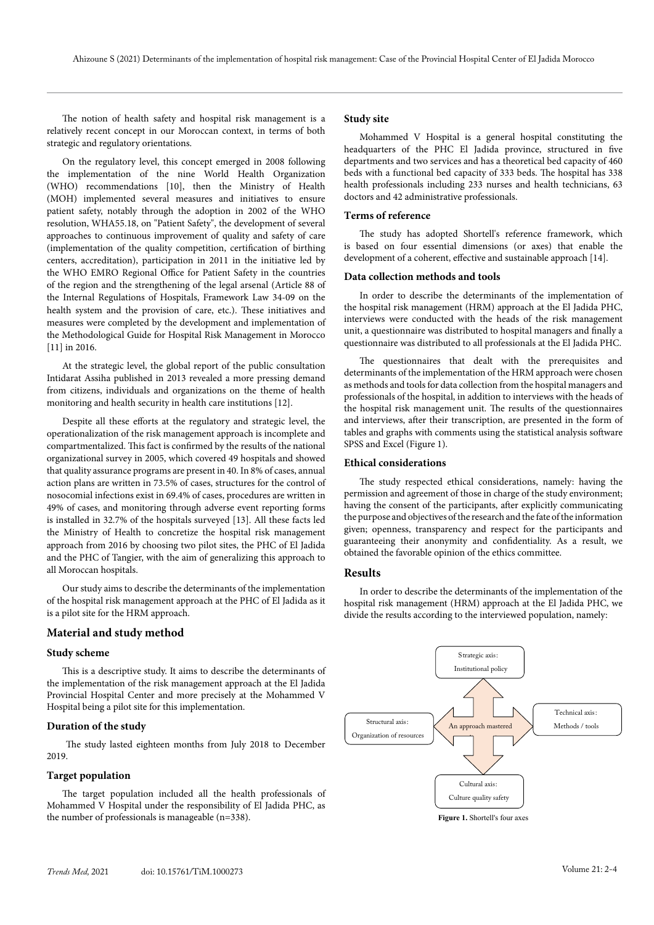The notion of health safety and hospital risk management is a relatively recent concept in our Moroccan context, in terms of both strategic and regulatory orientations.

On the regulatory level, this concept emerged in 2008 following the implementation of the nine World Health Organization (WHO) recommendations [10], then the Ministry of Health (MOH) implemented several measures and initiatives to ensure patient safety, notably through the adoption in 2002 of the WHO resolution, WHA55.18, on "Patient Safety", the development of several approaches to continuous improvement of quality and safety of care (implementation of the quality competition, certification of birthing centers, accreditation), participation in 2011 in the initiative led by the WHO EMRO Regional Office for Patient Safety in the countries of the region and the strengthening of the legal arsenal (Article 88 of the Internal Regulations of Hospitals, Framework Law 34-09 on the health system and the provision of care, etc.). These initiatives and measures were completed by the development and implementation of the Methodological Guide for Hospital Risk Management in Morocco [11] in 2016.

At the strategic level, the global report of the public consultation Intidarat Assiha published in 2013 revealed a more pressing demand from citizens, individuals and organizations on the theme of health monitoring and health security in health care institutions [12].

Despite all these efforts at the regulatory and strategic level, the operationalization of the risk management approach is incomplete and compartmentalized. This fact is confirmed by the results of the national organizational survey in 2005, which covered 49 hospitals and showed that quality assurance programs are present in 40. In 8% of cases, annual action plans are written in 73.5% of cases, structures for the control of nosocomial infections exist in 69.4% of cases, procedures are written in 49% of cases, and monitoring through adverse event reporting forms is installed in 32.7% of the hospitals surveyed [13]. All these facts led the Ministry of Health to concretize the hospital risk management approach from 2016 by choosing two pilot sites, the PHC of El Jadida and the PHC of Tangier, with the aim of generalizing this approach to all Moroccan hospitals.

Our study aims to describe the determinants of the implementation of the hospital risk management approach at the PHC of El Jadida as it is a pilot site for the HRM approach.

#### **Material and study method**

#### **Study scheme**

This is a descriptive study. It aims to describe the determinants of the implementation of the risk management approach at the El Jadida Provincial Hospital Center and more precisely at the Mohammed V Hospital being a pilot site for this implementation.

#### **Duration of the study**

 The study lasted eighteen months from July 2018 to December 2019.

### **Target population**

The target population included all the health professionals of Mohammed V Hospital under the responsibility of El Jadida PHC, as the number of professionals is manageable (n=338).

#### **Study site**

Mohammed V Hospital is a general hospital constituting the headquarters of the PHC El Jadida province, structured in five departments and two services and has a theoretical bed capacity of 460 beds with a functional bed capacity of 333 beds. The hospital has 338 health professionals including 233 nurses and health technicians, 63 doctors and 42 administrative professionals.

#### **Terms of reference**

The study has adopted Shortell's reference framework, which is based on four essential dimensions (or axes) that enable the development of a coherent, effective and sustainable approach [14].

#### **Data collection methods and tools**

In order to describe the determinants of the implementation of the hospital risk management (HRM) approach at the El Jadida PHC, interviews were conducted with the heads of the risk management unit, a questionnaire was distributed to hospital managers and finally a questionnaire was distributed to all professionals at the El Jadida PHC.

The questionnaires that dealt with the prerequisites and determinants of the implementation of the HRM approach were chosen as methods and tools for data collection from the hospital managers and professionals of the hospital, in addition to interviews with the heads of the hospital risk management unit. The results of the questionnaires and interviews, after their transcription, are presented in the form of tables and graphs with comments using the statistical analysis software SPSS and Excel (Figure 1).

#### **Ethical considerations**

The study respected ethical considerations, namely: having the permission and agreement of those in charge of the study environment; having the consent of the participants, after explicitly communicating the purpose and objectives of the research and the fate of the information given; openness, transparency and respect for the participants and guaranteeing their anonymity and confidentiality. As a result, we obtained the favorable opinion of the ethics committee.

#### **Results**

In order to describe the determinants of the implementation of the hospital risk management (HRM) approach at the El Jadida PHC, we divide the results according to the interviewed population, namely:



**Figure 1.** Shortell's four axes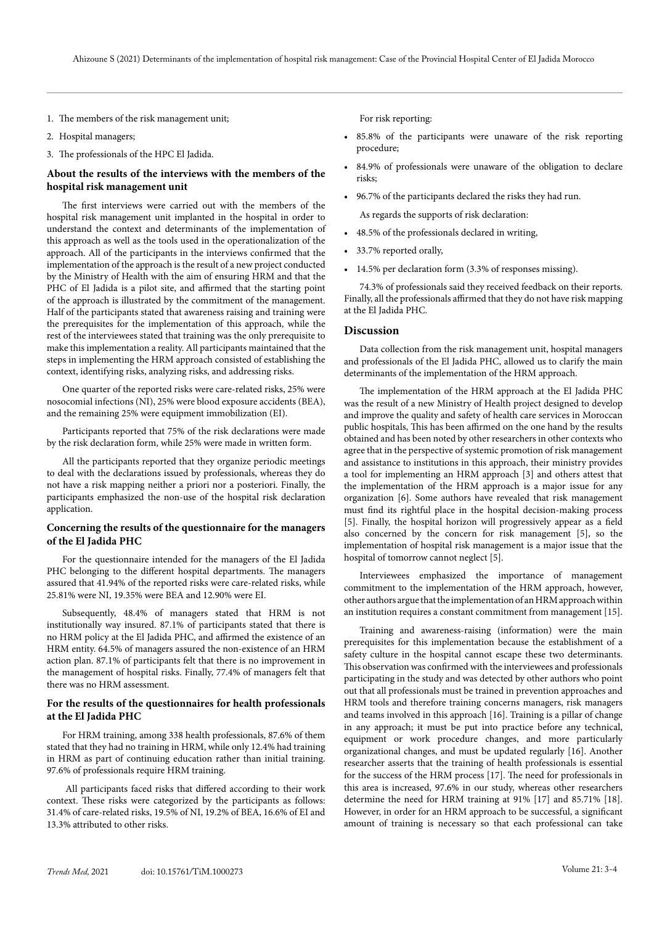- 1. The members of the risk management unit;
- 2. Hospital managers;
- 3. The professionals of the HPC El Jadida.

# **About the results of the interviews with the members of the hospital risk management unit**

The first interviews were carried out with the members of the hospital risk management unit implanted in the hospital in order to understand the context and determinants of the implementation of this approach as well as the tools used in the operationalization of the approach. All of the participants in the interviews confirmed that the implementation of the approach is the result of a new project conducted by the Ministry of Health with the aim of ensuring HRM and that the PHC of El Jadida is a pilot site, and affirmed that the starting point of the approach is illustrated by the commitment of the management. Half of the participants stated that awareness raising and training were the prerequisites for the implementation of this approach, while the rest of the interviewees stated that training was the only prerequisite to make this implementation a reality. All participants maintained that the steps in implementing the HRM approach consisted of establishing the context, identifying risks, analyzing risks, and addressing risks.

One quarter of the reported risks were care-related risks, 25% were nosocomial infections (NI), 25% were blood exposure accidents (BEA), and the remaining 25% were equipment immobilization (EI).

Participants reported that 75% of the risk declarations were made by the risk declaration form, while 25% were made in written form.

All the participants reported that they organize periodic meetings to deal with the declarations issued by professionals, whereas they do not have a risk mapping neither a priori nor a posteriori. Finally, the participants emphasized the non-use of the hospital risk declaration application.

#### **Concerning the results of the questionnaire for the managers of the El Jadida PHC**

For the questionnaire intended for the managers of the El Jadida PHC belonging to the different hospital departments. The managers assured that 41.94% of the reported risks were care-related risks, while 25.81% were NI, 19.35% were BEA and 12.90% were EI.

Subsequently, 48.4% of managers stated that HRM is not institutionally way insured. 87.1% of participants stated that there is no HRM policy at the El Jadida PHC, and affirmed the existence of an HRM entity. 64.5% of managers assured the non-existence of an HRM action plan. 87.1% of participants felt that there is no improvement in the management of hospital risks. Finally, 77.4% of managers felt that there was no HRM assessment.

#### **For the results of the questionnaires for health professionals at the El Jadida PHC**

For HRM training, among 338 health professionals, 87.6% of them stated that they had no training in HRM, while only 12.4% had training in HRM as part of continuing education rather than initial training. 97.6% of professionals require HRM training.

 All participants faced risks that differed according to their work context. These risks were categorized by the participants as follows: 31.4% of care-related risks, 19.5% of NI, 19.2% of BEA, 16.6% of EI and 13.3% attributed to other risks.

For risk reporting:

- 85.8% of the participants were unaware of the risk reporting procedure;
- 84.9% of professionals were unaware of the obligation to declare risks;
- 96.7% of the participants declared the risks they had run.

As regards the supports of risk declaration:

- 48.5% of the professionals declared in writing,
- 33.7% reported orally,
- 14.5% per declaration form (3.3% of responses missing).

74.3% of professionals said they received feedback on their reports. Finally, all the professionals affirmed that they do not have risk mapping at the El Jadida PHC.

#### **Discussion**

Data collection from the risk management unit, hospital managers and professionals of the El Jadida PHC, allowed us to clarify the main determinants of the implementation of the HRM approach.

The implementation of the HRM approach at the El Jadida PHC was the result of a new Ministry of Health project designed to develop and improve the quality and safety of health care services in Moroccan public hospitals, This has been affirmed on the one hand by the results obtained and has been noted by other researchers in other contexts who agree that in the perspective of systemic promotion of risk management and assistance to institutions in this approach, their ministry provides a tool for implementing an HRM approach [3] and others attest that the implementation of the HRM approach is a major issue for any organization [6]. Some authors have revealed that risk management must find its rightful place in the hospital decision-making process [5]. Finally, the hospital horizon will progressively appear as a field also concerned by the concern for risk management [5], so the implementation of hospital risk management is a major issue that the hospital of tomorrow cannot neglect [5].

Interviewees emphasized the importance of management commitment to the implementation of the HRM approach, however, other authors argue that the implementation of an HRM approach within an institution requires a constant commitment from management [15].

Training and awareness-raising (information) were the main prerequisites for this implementation because the establishment of a safety culture in the hospital cannot escape these two determinants. This observation was confirmed with the interviewees and professionals participating in the study and was detected by other authors who point out that all professionals must be trained in prevention approaches and HRM tools and therefore training concerns managers, risk managers and teams involved in this approach [16]. Training is a pillar of change in any approach; it must be put into practice before any technical, equipment or work procedure changes, and more particularly organizational changes, and must be updated regularly [16]. Another researcher asserts that the training of health professionals is essential for the success of the HRM process [17]. The need for professionals in this area is increased, 97.6% in our study, whereas other researchers determine the need for HRM training at 91% [17] and 85.71% [18]. However, in order for an HRM approach to be successful, a significant amount of training is necessary so that each professional can take